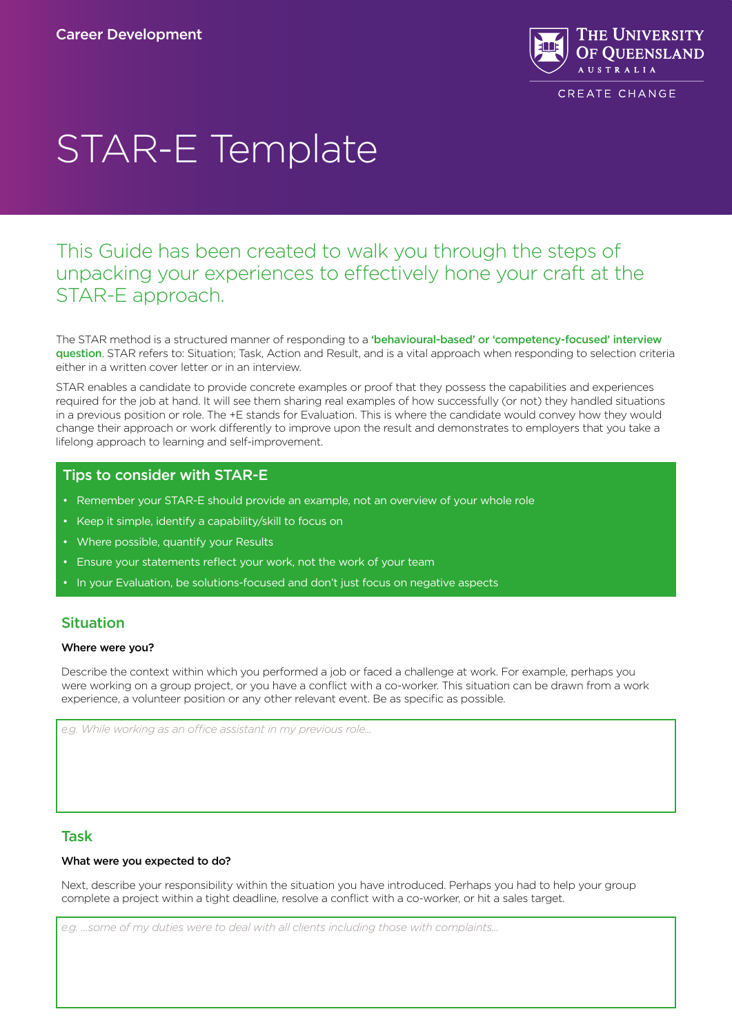

# STAR-E Template

## This Guide has been created to walk you through the steps of unpacking your experiences to effectively hone your craft at the STAR-E approach.

The STAR method is a structured manner of responding to a 'behavioural-based' or 'competency-focused' interview [question](https://www.thebalancecareers.com/competency-based-interview-questions-2061195). STAR refers to: Situation; Task, Action and Result, and is a vital approach when responding to selection criteria either in a written cover letter or in an interview.

STAR enables a candidate to provide concrete examples or proof that they possess the capabilities and experiences required for the job at hand. It will see them sharing real examples of how successfully (or not) they handled situations in a previous position or role. The +E stands for Evaluation. This is where the candidate would convey how they would change their approach or work differently to improve upon the result and demonstrates to employers that you take a lifelong approach to learning and self-improvement.

### Tips to consider with STAR-E

- Remember your STAR-E should provide an example, not an overview of your whole role
- Keep it simple, identify a capability/skill to focus on
- Where possible, quantify your Results
- Ensure your statements reflect your work, not the work of your team
- In your Evaluation, be solutions-focused and don't just focus on negative aspects

## Situation

#### Where were you?

Describe the context within which you performed a job or faced a challenge at work. For example, perhaps you were working on a group project, or you have a conflict with a co-worker. This situation can be drawn from a work experience, a volunteer position or any other relevant event. Be as specific as possible.

*e.g. While working as an office assistant in my previous role...*

## Task

#### What were you expected to do?

Next, describe your responsibility within the situation you have introduced. Perhaps you had to help your group complete a project within a tight deadline, resolve a conflict with a co-worker, or hit a sales target.

*e.g. ...some of my duties were to deal with all clients including those with complaints...*